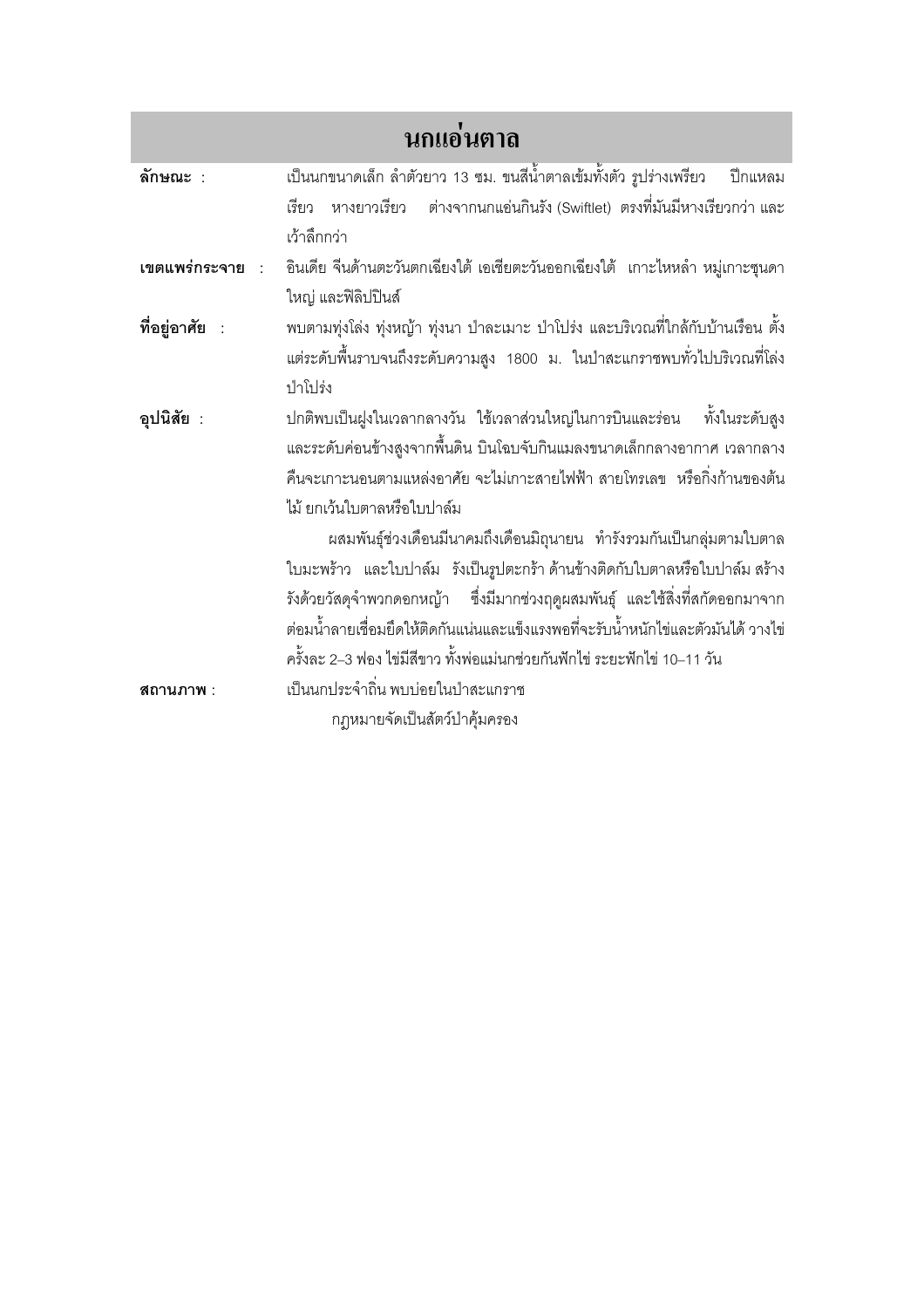| นกแอ่นตาล      |                                                                                     |
|----------------|-------------------------------------------------------------------------------------|
| ลักษณะ :       | ้เป็นนกขนาดเล็ก ลำตัวยาว 13 ซม. ขนสีน้ำตาลเข้มทั้งตัว รูปร่างเพรียว<br>ปีกแหลม      |
|                | เรียว   หางยาวเรียว     ต่างจากนกแอ่นกินรัง (Swiftlet)  ตรงที่มันมีหางเรียวกว่า และ |
|                | เว้าลึกกว่า                                                                         |
| เขตแพร่กระจาย  | อินเดีย จีนด้านตะวันตกเฉียงใต้ เอเชียตะวันออกเฉียงใต้ เกาะไหหลำ หมู่เกาะซุนดา       |
|                | ใหญ่ และฟิลิปปินส์                                                                  |
| ที่อยู่อาศัย : | ้พบตามทุ่งโล่ง ทุ่งหญ้า ทุ่งนา ป่าละเมาะ ป่าโปร่ง และบริเวณที่ใกล้กับบ้านเรือน ตั้ง |
|                | แต่ระดับพื้นราบจนถึงระดับความสูง 1800 ม. ในป่าสะแกราชพบทั่วไปบริเวณที่โล่ง          |
|                | ป่าโปร่ง                                                                            |
| อุปนิสัย :     | ปกติพบเป็นฝูงในเวลากลางวัน ใช้เวลาส่วนใหญ่ในการบินและร่อน ทั้งในระดับสูง            |
|                | และระดับค่อนข้างสูงจากพื้นดิน บินโฉบจับกินแมลงขนาดเล็กกลางอากาศ เวลากลาง            |
|                | คืนจะเกาะนอนตามแหล่งอาศัย จะไม่เกาะสายไฟฟ้า สายโทรเลข  หรือกิ่งก้านของต้น           |
|                | ไม้ ยกเว้นใบตาลหรือใบปาล์ม                                                          |
|                | ผสมพันธุ์ช่วงเดือนมีนาคมถึงเดือนมิถุนายน ทำรังรวมกันเป็นกลุ่มตามใบตาล               |
|                | ใบมะพร้าว และใบปาล์ม รังเป็นรูปตะกร้า ด้านข้างติดกับใบตาลหรือใบปาล์ม สร้าง          |
|                | รังด้วยวัสดุจำพวกดอกหญ้า ซึ่งมีมากช่วงฤดูผสมพันธุ์ และใช้สิ่งที่สกัดออกมาจาก        |
|                | ต่อมน้ำลายเชื่อมยึดให้ติดกันแน่นและแข็งแรงพอที่จะรับน้ำหนักไข่และตัวมันได้ วางไข่   |
|                | ครั้งละ 2–3 ฟอง ไข่มีสีขาว ทั้งพ่อแม่นกช่วยกันฟักไข่ ระยะฟักไข่ 10–11 วัน           |
| สถานภาพ :      | เป็นนกประจำถิ่น พบบ่อยในป่าสะแกราช                                                  |
|                | กฎหมายจัดเป็นสัตว์ป่าคุ้มครอง                                                       |